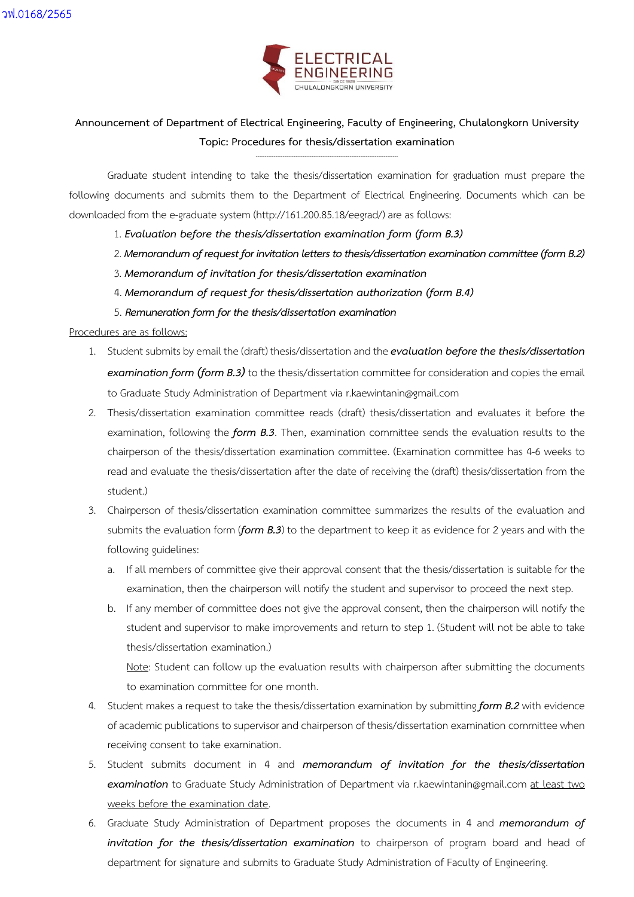

## **Announcement of Department of Electrical Engineering, Faculty of Engineering, Chulalongkorn University Topic: Procedures for thesis/dissertation examination**

**……………………………………………………………………………………………………………………………………………**

Graduate student intending to take the thesis/dissertation examination for graduation must prepare the following documents and submits them to the Department of Electrical Engineering. Documents which can be downloaded from the e-graduate system (http://161.200.85.18/eegrad/) are as follows:

- 1. *Evaluation before the thesis/dissertation examination form (form B.3)*
- 2. *Memorandumof request for invitation letters to thesis/dissertation examination committee(formB.2)*
- 3. *Memorandum of invitation for thesis/dissertation examination*
- 4. *Memorandum of request for thesis/dissertation authorization (form B.4)*
- 5. *Remuneration form for thethesis/dissertation examination*

## Procedures are as follows:

- 1. Student submits by email the (draft) thesis/dissertation and the *evaluation before the thesis/dissertation examination form (form B.3)* to the thesis/dissertation committee for consideration and copies the email to Graduate Study Administration of Department via r.kaewintanin@gmail.com
- 2. Thesis/dissertation examination committee reads (draft) thesis/dissertation and evaluates it before the examination, following the *form B.3*. Then, examination committee sends the evaluation results to the chairperson of the thesis/dissertation examination committee. (Examination committee has 4-6 weeks to read and evaluate the thesis/dissertation after the date of receiving the (draft) thesis/dissertation from the student.)
- 3. Chairperson of thesis/dissertation examination committee summarizes the results of the evaluation and submits the evaluation form (*form B.3*) to the department to keep it as evidence for 2 years and with the following guidelines:
	- a. If all members of committee give their approval consent that the thesis/dissertation is suitable for the examination, then the chairperson will notify the student and supervisor to proceed the next step.
	- b. If any member of committee does not give the approval consent, then the chairperson will notify the student and supervisor to make improvements and return to step 1. (Student will not be able to take thesis/dissertation examination.)

Note: Student can follow up the evaluation results with chairperson after submitting the documents to examination committee for one month.

- 4. Student makes a request to take the thesis/dissertation examination by submitting *form B.2* with evidence of academic publications to supervisor and chairperson of thesis/dissertation examination committee when receiving consent to take examination.
- 5. Student submits document in 4 and *memorandum of invitation for the thesis/dissertation examination* to Graduate Study Administration of Department via r.kaewintanin@gmail.com at least two weeks before the examination date.
- 6. Graduate Study Administration of Department proposes the documents in 4 and *memorandum of invitation for the thesis/dissertation examination* to chairperson of program board and head of department for signature and submits to Graduate Study Administration of Faculty of Engineering.